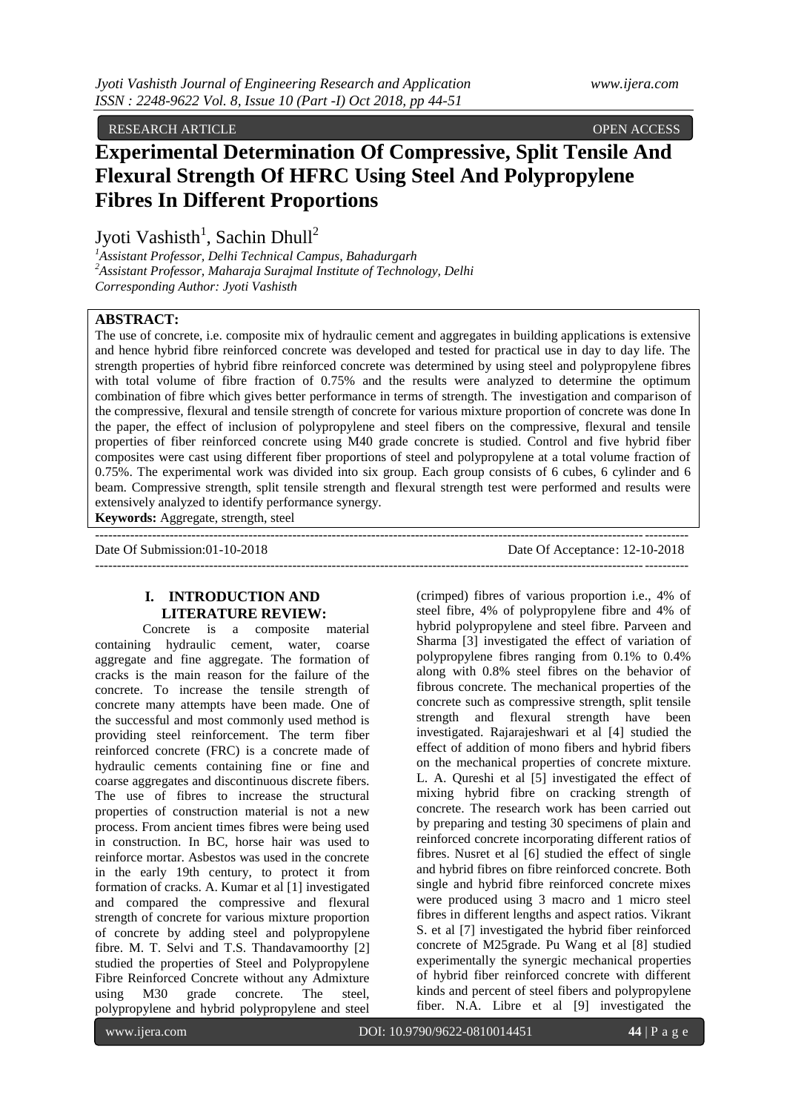RESEARCH ARTICLE OPEN ACCESS

# **Experimental Determination Of Compressive, Split Tensile And Flexural Strength Of HFRC Using Steel And Polypropylene Fibres In Different Proportions**

Jyoti Vashisth<sup>1</sup>, Sachin Dhull<sup>2</sup>

*<sup>1</sup>Assistant Professor, Delhi Technical Campus, Bahadurgarh <sup>2</sup>Assistant Professor, Maharaja Surajmal Institute of Technology, Delhi Corresponding Author: Jyoti Vashisth*

## **ABSTRACT:**

The use of concrete, i.e. composite mix of hydraulic cement and aggregates in building applications is extensive and hence hybrid fibre reinforced concrete was developed and tested for practical use in day to day life. The strength properties of hybrid fibre reinforced concrete was determined by using steel and polypropylene fibres with total volume of fibre fraction of 0.75% and the results were analyzed to determine the optimum combination of fibre which gives better performance in terms of strength. The investigation and comparison of the compressive, flexural and tensile strength of concrete for various mixture proportion of concrete was done In the paper, the effect of inclusion of polypropylene and steel fibers on the compressive, flexural and tensile properties of fiber reinforced concrete using M40 grade concrete is studied. Control and five hybrid fiber composites were cast using different fiber proportions of steel and polypropylene at a total volume fraction of 0.75%. The experimental work was divided into six group. Each group consists of 6 cubes, 6 cylinder and 6 beam. Compressive strength, split tensile strength and flexural strength test were performed and results were extensively analyzed to identify performance synergy. **Keywords:** Aggregate, strength, steel

--------------------------------------------------------------------------------------------------------------------------------------- Date Of Submission:01-10-2018 Date Of Acceptance: 12-10-2018  $-1-\frac{1}{2}$ 

## **I. INTRODUCTION AND LITERATURE REVIEW:**

Concrete is a composite material containing hydraulic cement, water, coarse aggregate and fine aggregate. The formation of cracks is the main reason for the failure of the concrete. To increase the tensile strength of concrete many attempts have been made. One of the successful and most commonly used method is providing steel reinforcement. The term fiber reinforced concrete (FRC) is a concrete made of hydraulic cements containing fine or fine and coarse aggregates and discontinuous discrete fibers. The use of fibres to increase the structural properties of construction material is not a new process. From ancient times fibres were being used in construction. In BC, horse hair was used to reinforce mortar. Asbestos was used in the concrete in the early 19th century, to protect it from formation of cracks. A. Kumar et al [1] investigated and compared the compressive and flexural strength of concrete for various mixture proportion of concrete by adding steel and polypropylene fibre. M. T. Selvi and T.S. Thandavamoorthy [2] studied the properties of Steel and Polypropylene Fibre Reinforced Concrete without any Admixture using M30 grade concrete. The steel, polypropylene and hybrid polypropylene and steel

(crimped) fibres of various proportion i.e., 4% of steel fibre, 4% of polypropylene fibre and 4% of hybrid polypropylene and steel fibre. Parveen and Sharma [3] investigated the effect of variation of polypropylene fibres ranging from 0.1% to 0.4% along with 0.8% steel fibres on the behavior of fibrous concrete. The mechanical properties of the concrete such as compressive strength, split tensile strength and flexural strength have been investigated. Rajarajeshwari et al [4] studied the effect of addition of mono fibers and hybrid fibers on the mechanical properties of concrete mixture. L. A. Qureshi et al [5] investigated the effect of mixing hybrid fibre on cracking strength of concrete. The research work has been carried out by preparing and testing 30 specimens of plain and reinforced concrete incorporating different ratios of fibres. Nusret et al [6] studied the effect of single and hybrid fibres on fibre reinforced concrete. Both single and hybrid fibre reinforced concrete mixes were produced using 3 macro and 1 micro steel fibres in different lengths and aspect ratios. Vikrant S. et al [7] investigated the hybrid fiber reinforced concrete of M25grade. Pu Wang et al [8] studied experimentally the synergic mechanical properties of hybrid fiber reinforced concrete with different kinds and percent of steel fibers and polypropylene fiber. N.A. Libre et al [9] investigated the

www.ijera.com **DOI:** 10.9790/9622-0810014451 **44** | P a g e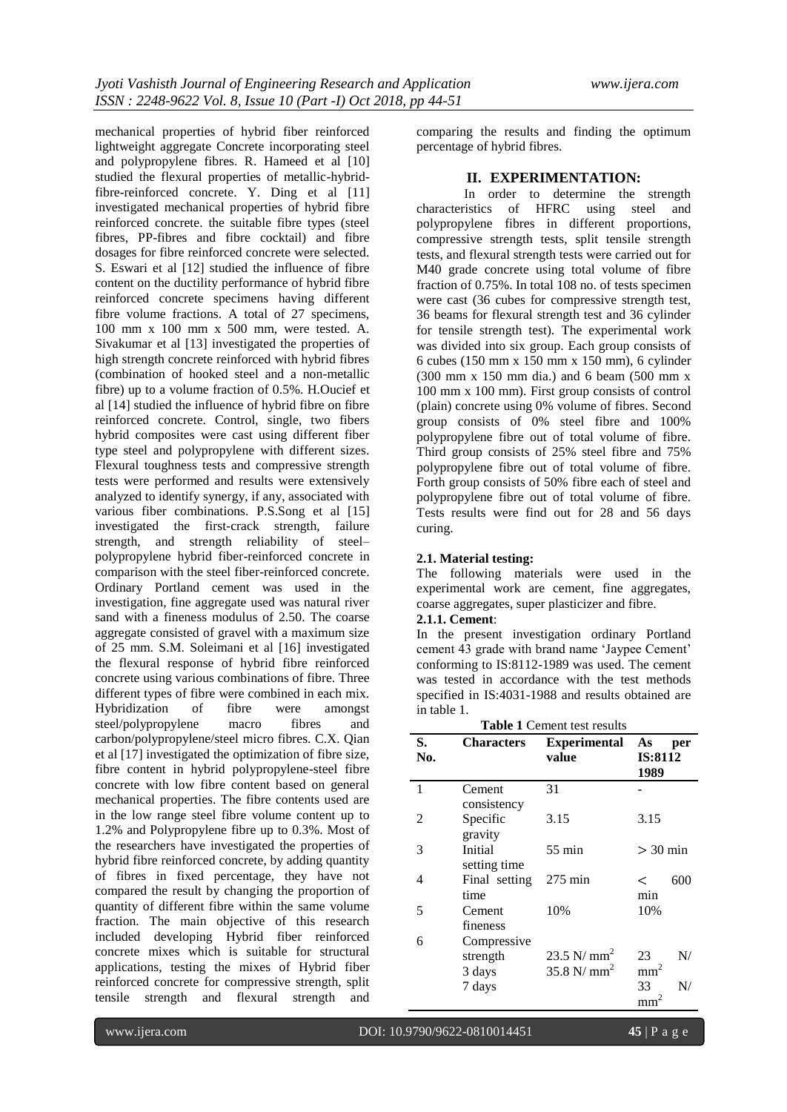mechanical properties of hybrid fiber reinforced lightweight aggregate Concrete incorporating steel and polypropylene fibres. R. Hameed et al [10] studied the flexural properties of metallic-hybridfibre-reinforced concrete. Y. Ding et al [11] investigated mechanical properties of hybrid fibre reinforced concrete. the suitable fibre types (steel fibres, PP-fibres and fibre cocktail) and fibre dosages for fibre reinforced concrete were selected. S. Eswari et al [12] studied the influence of fibre content on the ductility performance of hybrid fibre reinforced concrete specimens having different fibre volume fractions. A total of 27 specimens, 100 mm x 100 mm x 500 mm, were tested. A. Sivakumar et al [13] investigated the properties of high strength concrete reinforced with hybrid fibres (combination of hooked steel and a non-metallic fibre) up to a volume fraction of 0.5%. H.Oucief et al [14] studied the influence of hybrid fibre on fibre reinforced concrete. Control, single, two fibers hybrid composites were cast using different fiber type steel and polypropylene with different sizes. Flexural toughness tests and compressive strength tests were performed and results were extensively analyzed to identify synergy, if any, associated with various fiber combinations. P.S.Song et al [15] investigated the first-crack strength, failure strength, and strength reliability of steel– polypropylene hybrid fiber-reinforced concrete in comparison with the steel fiber-reinforced concrete. Ordinary Portland cement was used in the investigation, fine aggregate used was natural river sand with a fineness modulus of 2.50. The coarse aggregate consisted of gravel with a maximum size of 25 mm. S.M. Soleimani et al [16] investigated the flexural response of hybrid fibre reinforced concrete using various combinations of fibre. Three different types of fibre were combined in each mix. Hybridization of fibre were amongst steel/polypropylene macro fibres and carbon/polypropylene/steel micro fibres. C.X. Qian et al [17] investigated the optimization of fibre size, fibre content in hybrid polypropylene-steel fibre concrete with low fibre content based on general mechanical properties. The fibre contents used are in the low range steel fibre volume content up to 1.2% and Polypropylene fibre up to 0.3%. Most of the researchers have investigated the properties of hybrid fibre reinforced concrete, by adding quantity of fibres in fixed percentage, they have not compared the result by changing the proportion of quantity of different fibre within the same volume fraction. The main objective of this research included developing Hybrid fiber reinforced concrete mixes which is suitable for structural applications, testing the mixes of Hybrid fiber reinforced concrete for compressive strength, split tensile strength and flexural strength and

comparing the results and finding the optimum percentage of hybrid fibres.

### **II. EXPERIMENTATION:**

In order to determine the strength characteristics of HFRC using steel and polypropylene fibres in different proportions, compressive strength tests, split tensile strength tests, and flexural strength tests were carried out for M40 grade concrete using total volume of fibre fraction of 0.75%. In total 108 no. of tests specimen were cast (36 cubes for compressive strength test, 36 beams for flexural strength test and 36 cylinder for tensile strength test). The experimental work was divided into six group. Each group consists of 6 cubes (150 mm x 150 mm x 150 mm), 6 cylinder (300 mm x 150 mm dia.) and 6 beam (500 mm x 100 mm x 100 mm). First group consists of control (plain) concrete using 0% volume of fibres. Second group consists of 0% steel fibre and 100% polypropylene fibre out of total volume of fibre. Third group consists of 25% steel fibre and 75% polypropylene fibre out of total volume of fibre. Forth group consists of 50% fibre each of steel and polypropylene fibre out of total volume of fibre. Tests results were find out for 28 and 56 days curing.

#### **2.1. Material testing:**

The following materials were used in the experimental work are cement, fine aggregates, coarse aggregates, super plasticizer and fibre.

## **2.1.1. Cement**:

In the present investigation ordinary Portland cement 43 grade with brand name 'Jaypee Cement' conforming to IS:8112-1989 was used. The cement was tested in accordance with the test methods specified in IS:4031-1988 and results obtained are in table 1.

| <b>Table 1 Cement test results</b> |                                   |                                |                              |     |  |  |  |  |  |
|------------------------------------|-----------------------------------|--------------------------------|------------------------------|-----|--|--|--|--|--|
| S.<br>No.                          | <b>Characters</b>                 | <b>Experimental</b><br>value   | As<br><b>IS:8112</b><br>1989 | per |  |  |  |  |  |
| 1                                  | Cement<br>consistency             | 31                             |                              |     |  |  |  |  |  |
| 2                                  | Specific<br>gravity               | 3.15                           | 3.15                         |     |  |  |  |  |  |
| 3                                  | Initial<br>setting time           | $55 \text{ min}$               | $>$ 30 min                   |     |  |  |  |  |  |
| 4                                  | Final setting<br>time             | $275 \text{ min}$              | $\,<\,$<br>min               | 600 |  |  |  |  |  |
| 5                                  | Cement<br>fineness                | 10%                            | 10%                          |     |  |  |  |  |  |
| 6                                  | Compressive<br>strength<br>3 days | 23.5 N/ $mm2$<br>35.8 N/ $mm2$ | 23<br>mm                     | N/  |  |  |  |  |  |
|                                    | 7 days                            |                                | 33<br>mm                     | N/  |  |  |  |  |  |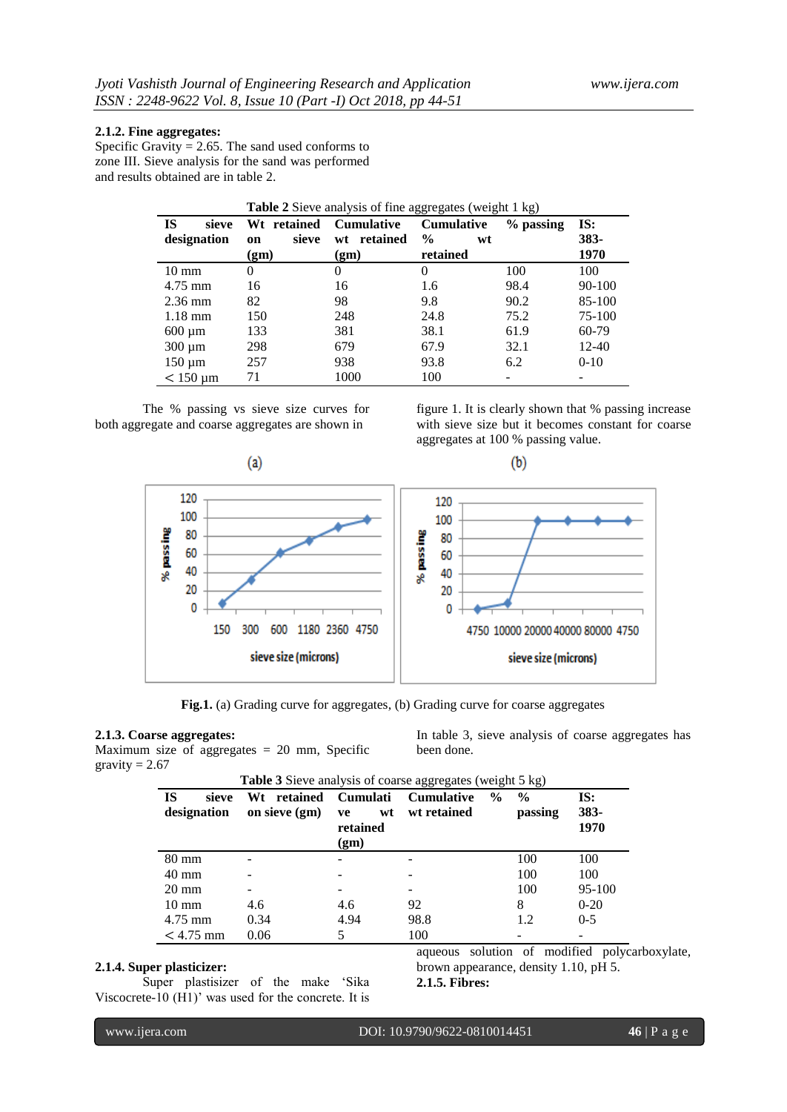## **2.1.2. Fine aggregates:**

Specific Gravity  $= 2.65$ . The sand used conforms to zone III. Sieve analysis for the sand was performed and results obtained are in table 2.

| <b>Table 2</b> Sieve analysis of fine aggregates (weight 1 kg) |             |                   |                     |             |           |  |  |  |  |  |  |
|----------------------------------------------------------------|-------------|-------------------|---------------------|-------------|-----------|--|--|--|--|--|--|
| <b>IS</b><br>sieve                                             | Wt retained | <b>Cumulative</b> | <b>Cumulative</b>   | $%$ passing | IS:       |  |  |  |  |  |  |
| designation                                                    | sieve<br>on | wt retained       | $\frac{0}{0}$<br>wt |             | $383 -$   |  |  |  |  |  |  |
|                                                                | (gm)        | (gm)              | retained            |             | 1970      |  |  |  |  |  |  |
| $10 \text{ mm}$                                                | $\Omega$    | 0                 | $\theta$            | 100         | 100       |  |  |  |  |  |  |
| $4.75$ mm                                                      | 16          | 16                | 1.6                 | 98.4        | 90-100    |  |  |  |  |  |  |
| $2.36$ mm                                                      | 82          | 98                | 9.8                 | 90.2        | 85-100    |  |  |  |  |  |  |
| $1.18 \text{ mm}$                                              | 150         | 248               | 24.8                | 75.2        | 75-100    |  |  |  |  |  |  |
| $600 \mu m$                                                    | 133         | 381               | 38.1                | 61.9        | 60-79     |  |  |  |  |  |  |
| $300 \mu m$                                                    | 298         | 679               | 67.9                | 32.1        | $12 - 40$ |  |  |  |  |  |  |
| $150 \mu m$                                                    | 257         | 938               | 93.8                | 6.2         | $0 - 10$  |  |  |  |  |  |  |
| $<$ 150 µm                                                     | 71          | 1000              | 100                 |             |           |  |  |  |  |  |  |

The % passing vs sieve size curves for both aggregate and coarse aggregates are shown in

figure 1. It is clearly shown that % passing increase with sieve size but it becomes constant for coarse aggregates at 100 % passing value.



**Fig.1.** (a) Grading curve for aggregates, (b) Grading curve for coarse aggregates

## **2.1.3. Coarse aggregates:**

Maximum size of aggregates  $= 20$  mm, Specific gravity  $= 2.67$ 

In table 3, sieve analysis of coarse aggregates has been done.

| <b>Table 3</b> Sieve analysis of coarse aggregates (weight 5 kg) |                                 |                                                 |                                  |               |                          |                     |  |  |  |  |
|------------------------------------------------------------------|---------------------------------|-------------------------------------------------|----------------------------------|---------------|--------------------------|---------------------|--|--|--|--|
| <b>IS</b><br>sieve<br>designation                                | retained<br>Wt<br>on sieve (gm) | <b>Cumulati</b><br>wt<br>ve<br>retained<br>(gm) | <b>Cumulative</b><br>wt retained | $\frac{0}{0}$ | $\frac{0}{0}$<br>passing | IS:<br>383-<br>1970 |  |  |  |  |
| 80 mm                                                            |                                 |                                                 |                                  |               | 100                      | 100                 |  |  |  |  |
| $40 \text{ mm}$                                                  |                                 |                                                 |                                  |               | 100                      | 100                 |  |  |  |  |
| $20 \text{ mm}$                                                  |                                 |                                                 |                                  |               | 100                      | 95-100              |  |  |  |  |
| $10 \text{ mm}$                                                  | 4.6                             | 4.6                                             | 92                               |               | 8                        | $0 - 20$            |  |  |  |  |
| $4.75$ mm                                                        | 0.34                            | 4.94                                            | 98.8                             |               | 1.2                      | $0 - 5$             |  |  |  |  |
| $< 4.75$ mm                                                      | 0.06                            |                                                 | 100                              |               |                          |                     |  |  |  |  |

#### **2.1.4. Super plasticizer:**

Super plastisizer of the make 'Sika Viscocrete-10 (H1)' was used for the concrete. It is

aqueous solution of modified polycarboxylate, brown appearance, density 1.10, pH 5.

**2.1.5. Fibres:**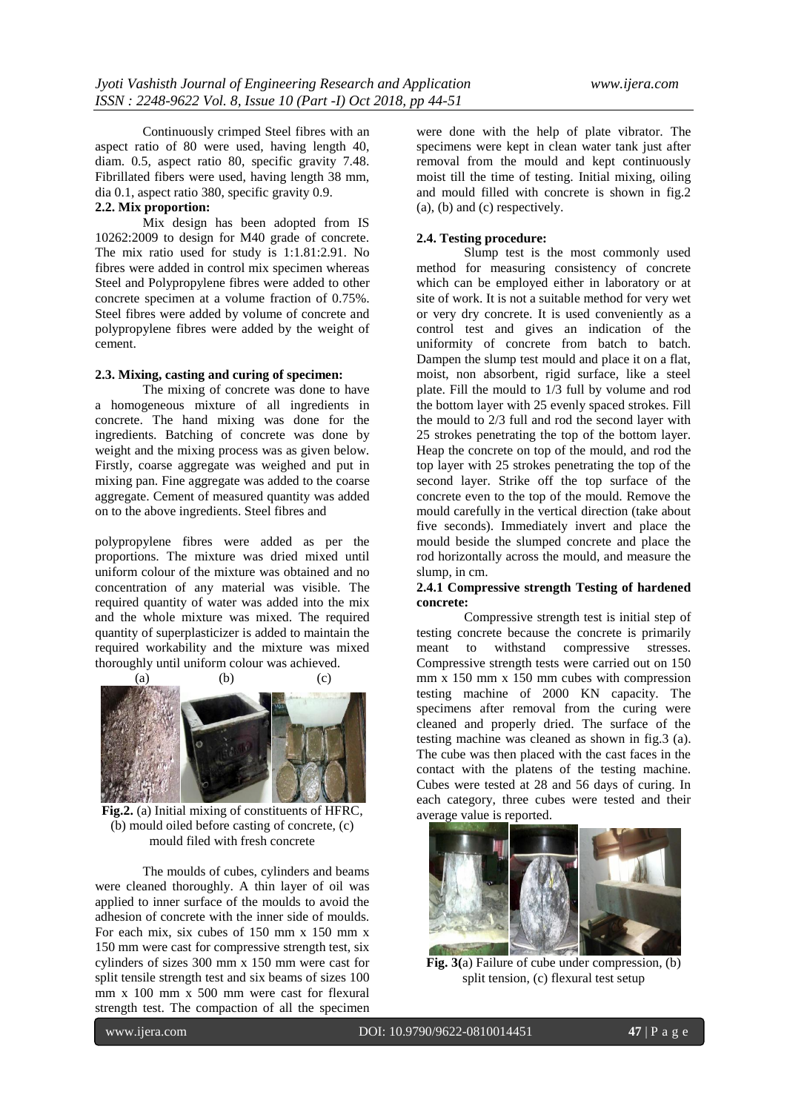Continuously crimped Steel fibres with an aspect ratio of 80 were used, having length 40, diam. 0.5, aspect ratio 80, specific gravity 7.48. Fibrillated fibers were used, having length 38 mm, dia 0.1, aspect ratio 380, specific gravity 0.9.

## **2.2. Mix proportion:**

Mix design has been adopted from IS 10262:2009 to design for M40 grade of concrete. The mix ratio used for study is 1:1.81:2.91. No fibres were added in control mix specimen whereas Steel and Polypropylene fibres were added to other concrete specimen at a volume fraction of 0.75%. Steel fibres were added by volume of concrete and polypropylene fibres were added by the weight of cement.

## **2.3. Mixing, casting and curing of specimen:**

The mixing of concrete was done to have a homogeneous mixture of all ingredients in concrete. The hand mixing was done for the ingredients. Batching of concrete was done by weight and the mixing process was as given below. Firstly, coarse aggregate was weighed and put in mixing pan. Fine aggregate was added to the coarse aggregate. Cement of measured quantity was added on to the above ingredients. Steel fibres and

polypropylene fibres were added as per the proportions. The mixture was dried mixed until uniform colour of the mixture was obtained and no concentration of any material was visible. The required quantity of water was added into the mix and the whole mixture was mixed. The required quantity of superplasticizer is added to maintain the required workability and the mixture was mixed thoroughly until uniform colour was achieved.



**Fig.2.** (a) Initial mixing of constituents of HFRC, (b) mould oiled before casting of concrete, (c) mould filed with fresh concrete

The moulds of cubes, cylinders and beams were cleaned thoroughly. A thin layer of oil was applied to inner surface of the moulds to avoid the adhesion of concrete with the inner side of moulds. For each mix, six cubes of 150 mm x 150 mm x 150 mm were cast for compressive strength test, six cylinders of sizes 300 mm x 150 mm were cast for split tensile strength test and six beams of sizes 100 mm x 100 mm x 500 mm were cast for flexural strength test. The compaction of all the specimen

were done with the help of plate vibrator. The specimens were kept in clean water tank just after removal from the mould and kept continuously moist till the time of testing. Initial mixing, oiling and mould filled with concrete is shown in fig.2 (a), (b) and (c) respectively.

## **2.4. Testing procedure:**

Slump test is the most commonly used method for measuring consistency of concrete which can be employed either in laboratory or at site of work. It is not a suitable method for very wet or very dry concrete. It is used conveniently as a control test and gives an indication of the uniformity of concrete from batch to batch. Dampen the slump test mould and place it on a flat, moist, non absorbent, rigid surface, like a steel plate. Fill the mould to 1/3 full by volume and rod the bottom layer with 25 evenly spaced strokes. Fill the mould to 2/3 full and rod the second layer with 25 strokes penetrating the top of the bottom layer. Heap the concrete on top of the mould, and rod the top layer with 25 strokes penetrating the top of the second layer. Strike off the top surface of the concrete even to the top of the mould. Remove the mould carefully in the vertical direction (take about five seconds). Immediately invert and place the mould beside the slumped concrete and place the rod horizontally across the mould, and measure the slump, in cm.

## **2.4.1 Compressive strength Testing of hardened concrete:**

Compressive strength test is initial step of testing concrete because the concrete is primarily meant to withstand compressive stresses. Compressive strength tests were carried out on 150 mm x 150 mm x 150 mm cubes with compression testing machine of 2000 KN capacity. The specimens after removal from the curing were cleaned and properly dried. The surface of the testing machine was cleaned as shown in fig.3 (a). The cube was then placed with the cast faces in the contact with the platens of the testing machine. Cubes were tested at 28 and 56 days of curing. In each category, three cubes were tested and their average value is reported.



**Fig. 3(**a) Failure of cube under compression, (b) split tension, (c) flexural test setup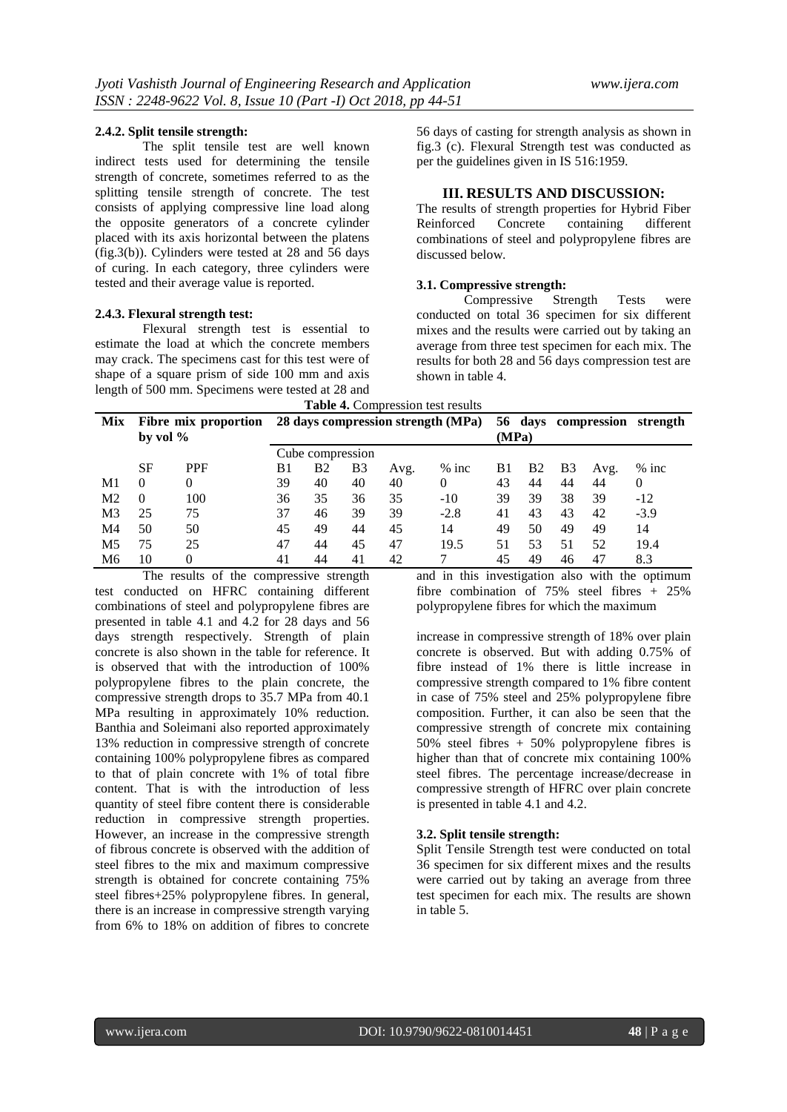#### **2.4.2. Split tensile strength:**

The split tensile test are well known indirect tests used for determining the tensile strength of concrete, sometimes referred to as the splitting tensile strength of concrete. The test consists of applying compressive line load along the opposite generators of a concrete cylinder placed with its axis horizontal between the platens (fig.3(b)). Cylinders were tested at 28 and  $\overline{56}$  days of curing. In each category, three cylinders were tested and their average value is reported.

#### **2.4.3. Flexural strength test:**

Flexural strength test is essential to estimate the load at which the concrete members may crack. The specimens cast for this test were of shape of a square prism of side 100 mm and axis length of 500 mm. Specimens were tested at 28 and

56 days of casting for strength analysis as shown in fig.3 (c). Flexural Strength test was conducted as per the guidelines given in IS 516:1959.

## **III. RESULTS AND DISCUSSION:**

The results of strength properties for Hybrid Fiber Reinforced Concrete containing different combinations of steel and polypropylene fibres are discussed below.

#### **3.1. Compressive strength:**

Compressive Strength Tests were conducted on total 36 specimen for six different mixes and the results were carried out by taking an average from three test specimen for each mix. The results for both 28 and 56 days compression test are shown in table 4.

**Table 4.** Compression test results

|                | <b>rapic +.</b> Compression test results |            |                  |                |    |                                    |         |         |           |                |          |          |  |
|----------------|------------------------------------------|------------|------------------|----------------|----|------------------------------------|---------|---------|-----------|----------------|----------|----------|--|
| Mix            | Fibre mix proportion<br>by vol $\%$      |            |                  |                |    | 28 days compression strength (MPa) | (MPa)   | 56 days |           | compression    | strength |          |  |
|                |                                          |            | Cube compression |                |    |                                    |         |         |           |                |          |          |  |
|                | <b>SF</b>                                | <b>PPF</b> | B1               | B <sub>2</sub> | B3 | Avg.                               | $%$ inc | B1      | <b>B2</b> | B <sub>3</sub> | Avg.     | $%$ inc  |  |
| M <sub>1</sub> | $\Omega$                                 | 0          | 39               | 40             | 40 | 40                                 | 0       | 43      | 44        | 44             | 44       | $\theta$ |  |
| M <sub>2</sub> | $\Omega$                                 | 100        | 36               | 35             | 36 | 35                                 | $-10$   | 39      | 39        | 38             | 39       | -12      |  |
| M3             | 25                                       | 75         | 37               | 46             | 39 | 39                                 | $-2.8$  | 41      | 43        | 43             | 42       | $-3.9$   |  |
| M4             | 50                                       | 50         | 45               | 49             | 44 | 45                                 | 14      | 49      | 50        | 49             | 49       | 14       |  |
| M5             | 75                                       | 25         | 47               | 44             | 45 | 47                                 | 19.5    | 51      | 53        | 51             | 52       | 19.4     |  |
| M6             | 10                                       |            | 41               | 44             | 41 | 42                                 |         | 45      | 49        | 46             | 47       | 8.3      |  |

The results of the compressive strength test conducted on HFRC containing different combinations of steel and polypropylene fibres are presented in table 4.1 and 4.2 for 28 days and 56 days strength respectively. Strength of plain concrete is also shown in the table for reference. It is observed that with the introduction of 100% polypropylene fibres to the plain concrete, the compressive strength drops to 35.7 MPa from 40.1 MPa resulting in approximately 10% reduction. Banthia and Soleimani also reported approximately 13% reduction in compressive strength of concrete containing 100% polypropylene fibres as compared to that of plain concrete with 1% of total fibre content. That is with the introduction of less quantity of steel fibre content there is considerable reduction in compressive strength properties. However, an increase in the compressive strength of fibrous concrete is observed with the addition of steel fibres to the mix and maximum compressive strength is obtained for concrete containing 75% steel fibres+25% polypropylene fibres. In general, there is an increase in compressive strength varying from 6% to 18% on addition of fibres to concrete

and in this investigation also with the optimum fibre combination of 75% steel fibres + 25% polypropylene fibres for which the maximum

increase in compressive strength of 18% over plain concrete is observed. But with adding 0.75% of fibre instead of 1% there is little increase in compressive strength compared to 1% fibre content in case of 75% steel and 25% polypropylene fibre composition. Further, it can also be seen that the compressive strength of concrete mix containing  $50\%$  steel fibres +  $50\%$  polypropylene fibres is higher than that of concrete mix containing 100% steel fibres. The percentage increase/decrease in compressive strength of HFRC over plain concrete is presented in table 4.1 and 4.2.

#### **3.2. Split tensile strength:**

Split Tensile Strength test were conducted on total 36 specimen for six different mixes and the results were carried out by taking an average from three test specimen for each mix. The results are shown in table 5.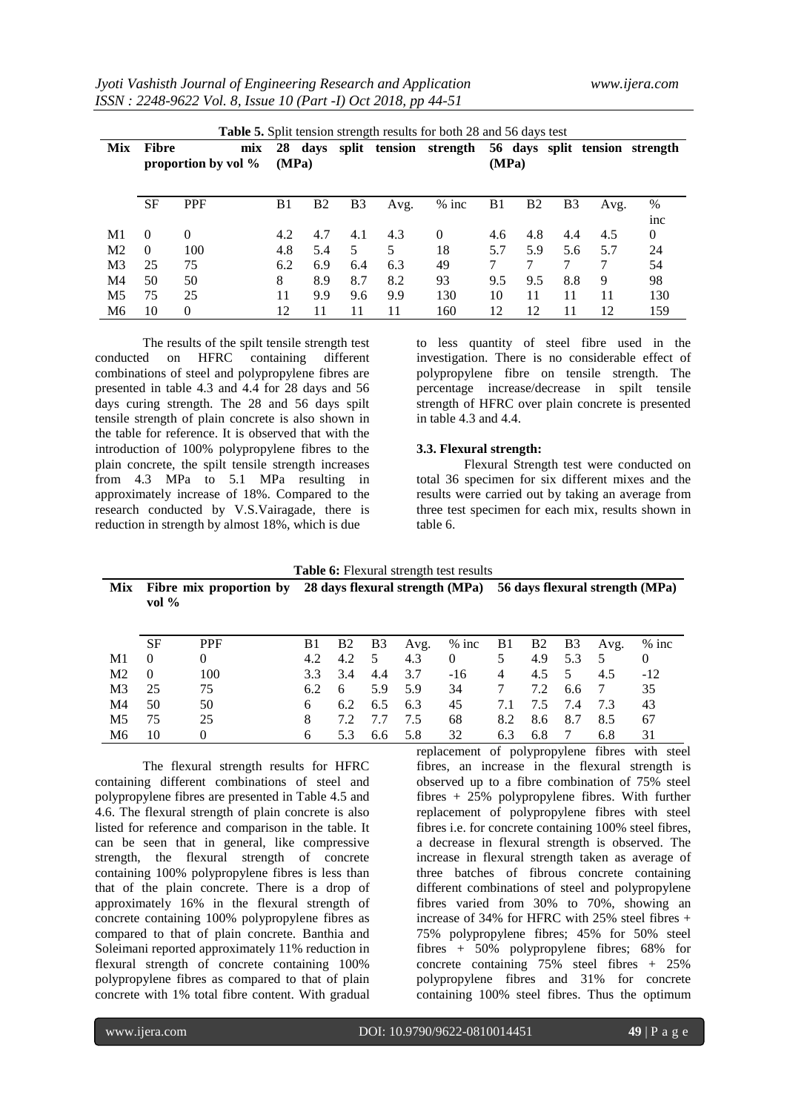*Jyoti Vashisth Journal of Engineering Research and Application www.ijera.com ISSN : 2248-9622 Vol. 8, Issue 10 (Part -I) Oct 2018, pp 44-51*

|                | <b>Table 5.</b> Split tension strength results for both 28 and 56 days test |            |                |           |                |         |          |       |                |     |                       |                 |  |
|----------------|-----------------------------------------------------------------------------|------------|----------------|-----------|----------------|---------|----------|-------|----------------|-----|-----------------------|-----------------|--|
| Mix            | <b>Fibre</b><br>mix                                                         |            | 28             | days      | split          | tension | strength |       |                |     | 56 days split tension | strength        |  |
|                | proportion by vol %                                                         |            | (MPa)          |           |                |         |          | (MPa) |                |     |                       |                 |  |
|                |                                                                             |            |                |           |                |         |          |       |                |     |                       |                 |  |
|                | <b>SF</b>                                                                   | <b>PPF</b> | B <sub>1</sub> | <b>B2</b> | B <sub>3</sub> | Avg.    | $%$ inc  | B1    | B <sub>2</sub> | B3  | Avg.                  | %               |  |
|                |                                                                             |            |                |           |                |         |          |       |                |     |                       | <sub>1</sub> nc |  |
| M1             | $\Omega$                                                                    | $\Omega$   | 4.2            | 4.7       | 4.1            | 4.3     | $\Omega$ | 4.6   | 4.8            | 4.4 | 4.5                   | $\Omega$        |  |
| M <sub>2</sub> | $\Omega$                                                                    | 100        | 4.8            | 5.4       | 5              | 5       | 18       | 5.7   | 5.9            | 5.6 | 5.7                   | 24              |  |
| M <sub>3</sub> | 25                                                                          | 75         | 6.2            | 6.9       | 6.4            | 6.3     | 49       |       |                | 7   | 7                     | 54              |  |
| M <sub>4</sub> | 50                                                                          | 50         | 8              | 8.9       | 8.7            | 8.2     | 93       | 9.5   | 9.5            | 8.8 | 9                     | 98              |  |
| M <sub>5</sub> | 75                                                                          | 25         | 11             | 9.9       | 9.6            | 9.9     | 130      | 10    | 11             | 11  | 11                    | 130             |  |
| M6             | 10                                                                          | $\Omega$   | 12             | 11        | 11             | 11      | 160      | 12    | 12             | 11  | 12                    | 159             |  |

The results of the spilt tensile strength test<br>d on HFRC containing different conducted on HFRC containing different combinations of steel and polypropylene fibres are presented in table 4.3 and 4.4 for 28 days and 56 days curing strength. The 28 and 56 days spilt tensile strength of plain concrete is also shown in the table for reference. It is observed that with the introduction of 100% polypropylene fibres to the plain concrete, the spilt tensile strength increases from 4.3 MPa to 5.1 MPa resulting in approximately increase of 18%. Compared to the research conducted by V.S.Vairagade, there is reduction in strength by almost 18%, which is due

to less quantity of steel fibre used in the investigation. There is no considerable effect of polypropylene fibre on tensile strength. The percentage increase/decrease in spilt tensile strength of HFRC over plain concrete is presented in table 4.3 and 4.4.

## **3.3. Flexural strength:**

Flexural Strength test were conducted on total 36 specimen for six different mixes and the results were carried out by taking an average from three test specimen for each mix, results shown in table 6.

| <b>Table 6:</b> Flexural strength test results |                                     |            |     |     |     |                                 |          |     |                |                |                                 |         |
|------------------------------------------------|-------------------------------------|------------|-----|-----|-----|---------------------------------|----------|-----|----------------|----------------|---------------------------------|---------|
| Mix                                            | Fibre mix proportion by<br>vol $\%$ |            |     |     |     | 28 days flexural strength (MPa) |          |     |                |                | 56 days flexural strength (MPa) |         |
|                                                | <b>SF</b>                           | <b>PPF</b> | B1  | B2  | B3  | Avg.                            | $%$ inc  | B1  | B <sub>2</sub> | B <sub>3</sub> | Avg.                            | $%$ inc |
| M1                                             | $\theta$                            | 0          | 4.2 | 4.2 | 5   | 4.3                             | $\theta$ | 5   | 4.9            | 5.3            | 5                               | 0       |
| M <sub>2</sub>                                 | $\theta$                            | 100        | 3.3 | 3.4 | 4.4 | 3.7                             | $-16$    | 4   | 4.5            | 5              | 4.5                             | $-12$   |
| M <sub>3</sub>                                 | 25                                  | 75         | 6.2 | 6   | 5.9 | 5.9                             | 34       | 7   | 7.2            | 6.6            | 7                               | 35      |
| M4                                             | 50                                  | 50         | 6   | 6.2 | 6.5 | 6.3                             | 45       | 7.1 | 7.5            | 7.4            | 7.3                             | 43      |
| M <sub>5</sub>                                 | 75                                  | 25         | 8   | 7.2 | 7.7 | 7.5                             | 68       | 8.2 | 8.6            | 8.7            | 8.5                             | 67      |
| M6                                             | 10                                  | 0          | 6   | 5.3 | 6.6 | 5.8                             | 32       | 6.3 | 6.8            |                | 6.8                             | 31      |

The flexural strength results for HFRC containing different combinations of steel and polypropylene fibres are presented in Table 4.5 and 4.6. The flexural strength of plain concrete is also listed for reference and comparison in the table. It can be seen that in general, like compressive strength, the flexural strength of concrete containing 100% polypropylene fibres is less than that of the plain concrete. There is a drop of approximately 16% in the flexural strength of concrete containing 100% polypropylene fibres as compared to that of plain concrete. Banthia and Soleimani reported approximately 11% reduction in flexural strength of concrete containing 100% polypropylene fibres as compared to that of plain concrete with 1% total fibre content. With gradual

replacement of polypropylene fibres with steel fibres, an increase in the flexural strength is observed up to a fibre combination of 75% steel fibres + 25% polypropylene fibres. With further replacement of polypropylene fibres with steel fibres i.e. for concrete containing 100% steel fibres, a decrease in flexural strength is observed. The increase in flexural strength taken as average of three batches of fibrous concrete containing different combinations of steel and polypropylene fibres varied from 30% to 70%, showing an increase of 34% for HFRC with 25% steel fibres + 75% polypropylene fibres; 45% for 50% steel fibres + 50% polypropylene fibres; 68% for concrete containing 75% steel fibres + 25% polypropylene fibres and 31% for concrete containing 100% steel fibres. Thus the optimum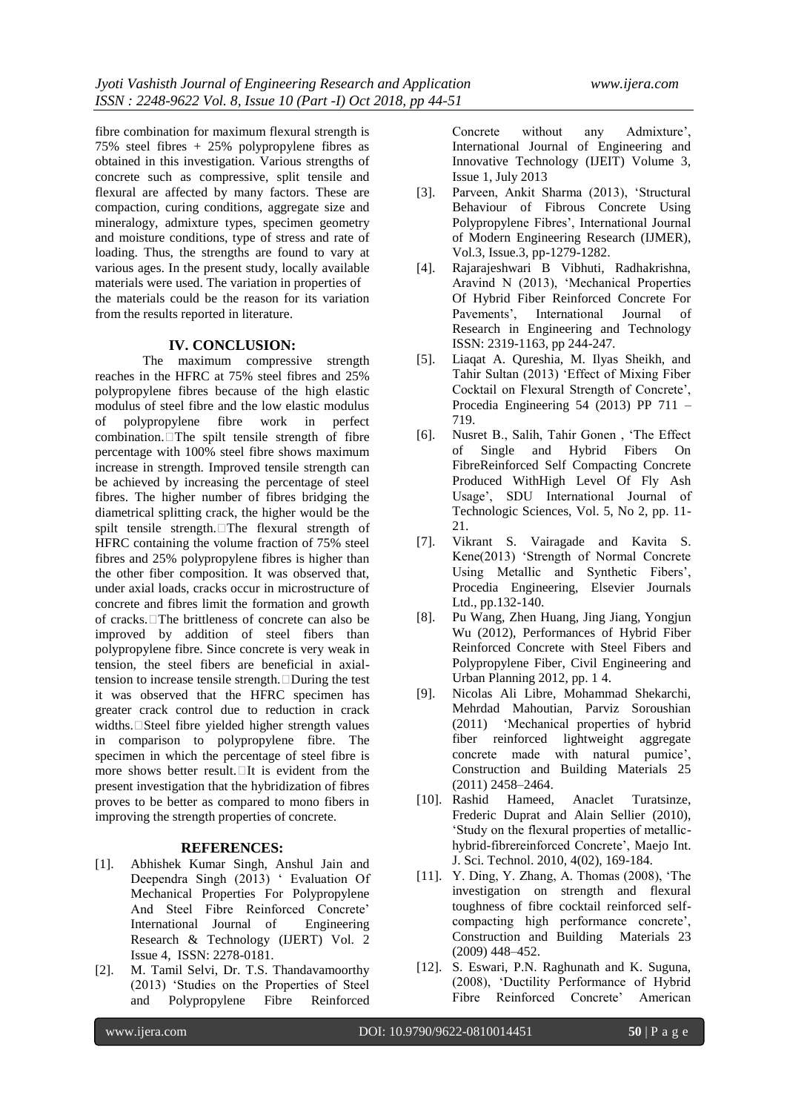fibre combination for maximum flexural strength is 75% steel fibres + 25% polypropylene fibres as obtained in this investigation. Various strengths of concrete such as compressive, split tensile and flexural are affected by many factors. These are compaction, curing conditions, aggregate size and mineralogy, admixture types, specimen geometry and moisture conditions, type of stress and rate of loading. Thus, the strengths are found to vary at various ages. In the present study, locally available materials were used. The variation in properties of the materials could be the reason for its variation from the results reported in literature.

## **IV. CONCLUSION:**

The maximum compressive strength reaches in the HFRC at 75% steel fibres and 25% polypropylene fibres because of the high elastic modulus of steel fibre and the low elastic modulus of polypropylene fibre work in perfect  $combination$ . The spilt tensile strength of fibre percentage with 100% steel fibre shows maximum increase in strength. Improved tensile strength can be achieved by increasing the percentage of steel fibres. The higher number of fibres bridging the diametrical splitting crack, the higher would be the spilt tensile strength. The flexural strength of HFRC containing the volume fraction of 75% steel fibres and 25% polypropylene fibres is higher than the other fiber composition. It was observed that, under axial loads, cracks occur in microstructure of concrete and fibres limit the formation and growth of cracks. $\Box$ The brittleness of concrete can also be improved by addition of steel fibers than polypropylene fibre. Since concrete is very weak in tension, the steel fibers are beneficial in axialtension to increase tensile strength. During the test it was observed that the HFRC specimen has greater crack control due to reduction in crack widths. $\square$ Steel fibre yielded higher strength values in comparison to polypropylene fibre. The specimen in which the percentage of steel fibre is more shows better result. $\Box$ It is evident from the present investigation that the hybridization of fibres proves to be better as compared to mono fibers in improving the strength properties of concrete.

#### **REFERENCES:**

- [1]. Abhishek Kumar Singh, Anshul Jain and Deependra Singh (2013) ' Evaluation Of Mechanical Properties For Polypropylene And Steel Fibre Reinforced Concrete' International Journal of Engineering Research & Technology (IJERT) Vol. 2 Issue 4, ISSN: 2278-0181.
- [2]. M. Tamil Selvi, Dr. T.S. Thandavamoorthy (2013) 'Studies on the Properties of Steel and Polypropylene Fibre Reinforced

Concrete without any Admixture', International Journal of Engineering and Innovative Technology (IJEIT) Volume 3, Issue 1, July 2013

- [3]. Parveen, Ankit Sharma (2013), 'Structural Behaviour of Fibrous Concrete Using Polypropylene Fibres', International Journal of Modern Engineering Research (IJMER), Vol.3, Issue.3, pp-1279-1282.
- [4]. Rajarajeshwari B Vibhuti, Radhakrishna, Aravind N (2013), 'Mechanical Properties Of Hybrid Fiber Reinforced Concrete For Pavements', International Journal of Research in Engineering and Technology ISSN: 2319-1163, pp 244-247.
- [5]. Liaqat A. Qureshia, M. Ilyas Sheikh, and Tahir Sultan (2013) 'Effect of Mixing Fiber Cocktail on Flexural Strength of Concrete', Procedia Engineering 54 (2013) PP 711 – 719.
- [6]. Nusret B., Salih, Tahir Gonen , 'The Effect of Single and Hybrid Fibers On FibreReinforced Self Compacting Concrete Produced WithHigh Level Of Fly Ash Usage', SDU International Journal of Technologic Sciences, Vol. 5, No 2, pp. 11- 21.
- [7]. Vikrant S. Vairagade and Kavita S. Kene(2013) 'Strength of Normal Concrete Using Metallic and Synthetic Fibers', Procedia Engineering, Elsevier Journals Ltd., pp.132-140.
- [8]. Pu Wang, Zhen Huang, Jing Jiang, Yongjun Wu (2012), Performances of Hybrid Fiber Reinforced Concrete with Steel Fibers and Polypropylene Fiber, Civil Engineering and Urban Planning 2012, pp. 1 4.
- [9]. Nicolas Ali Libre, Mohammad Shekarchi, Mehrdad Mahoutian, Parviz Soroushian (2011) 'Mechanical properties of hybrid fiber reinforced lightweight aggregate concrete made with natural pumice', Construction and Building Materials 25 (2011) 2458–2464.
- [10]. Rashid Hameed, Anaclet Turatsinze, Frederic Duprat and Alain Sellier (2010), 'Study on the flexural properties of metallichybrid-fibrereinforced Concrete', Maejo Int. J. Sci. Technol. 2010, 4(02), 169-184.
- [11]. Y. Ding, Y. Zhang, A. Thomas (2008), 'The investigation on strength and flexural toughness of fibre cocktail reinforced selfcompacting high performance concrete', Construction and Building Materials 23 (2009) 448–452.
- [12]. S. Eswari, P.N. Raghunath and K. Suguna, (2008), 'Ductility Performance of Hybrid Fibre Reinforced Concrete' American